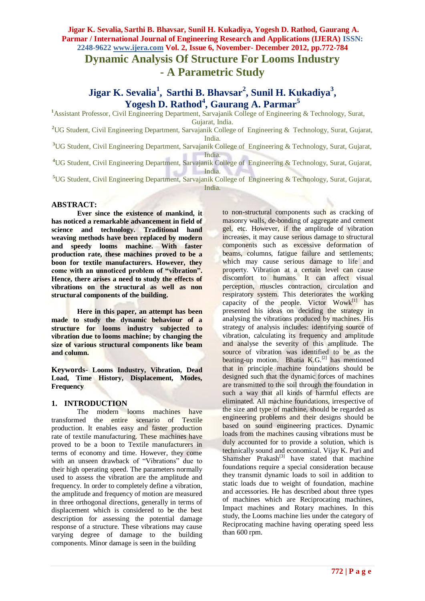# **- A Parametric Study**

**Jigar K. Sevalia<sup>1</sup> , Sarthi B. Bhavsar<sup>2</sup> , Sunil H. Kukadiya<sup>3</sup> , Yogesh D. Rathod<sup>4</sup> , Gaurang A. Parmar<sup>5</sup>**

**<sup>1</sup>**Assistant Professor, Civil Engineering Department, Sarvajanik College of Engineering & Technology, Surat,

Gujarat, India.

**<sup>2</sup>**UG Student, Civil Engineering Department, Sarvajanik College of Engineering & Technology, Surat, Gujarat, India.

**<sup>3</sup>**UG Student, Civil Engineering Department, Sarvajanik College of Engineering & Technology, Surat, Gujarat, India.

**<sup>4</sup>**UG Student, Civil Engineering Department, Sarvajanik College of Engineering & Technology, Surat, Gujarat, India.

**<sup>5</sup>**UG Student, Civil Engineering Department, Sarvajanik College of Engineering & Technology, Surat, Gujarat, India.

### **ABSTRACT:**

**Ever since the existence of mankind, it has noticed a remarkable advancement in field of science and technology. Traditional hand weaving methods have been replaced by modern and speedy looms machine. With faster production rate, these machines proved to be a boon for textile manufacturers. However, they come with an unnoticed problem of "vibration". Hence, there arises a need to study the effects of vibrations on the structural as well as non structural components of the building.**

**Here in this paper, an attempt has been made to study the dynamic behaviour of a structure for looms industry subjected to vibration due to looms machine; by changing the size of various structural components like beam and column.**

**Keywords- Looms Industry, Vibration, Dead Load, Time History, Displacement, Modes, Frequency**

# **1. INTRODUCTION**

The modern looms machines have transformed the entire scenario of Textile production. It enables easy and faster production rate of textile manufacturing. These machines have proved to be a boon to Textile manufacturers in terms of economy and time. However, they come with an unseen drawback of "Vibrations" due to their high operating speed. The parameters normally used to assess the vibration are the amplitude and frequency. In order to completely define a vibration, the amplitude and frequency of motion are measured in three orthogonal directions, generally in terms of displacement which is considered to be the best description for assessing the potential damage response of a structure. These vibrations may cause varying degree of damage to the building components. Minor damage is seen in the building

to non-structural components such as cracking of masonry walls, de-bonding of aggregate and cement gel, etc. However, if the amplitude of vibration increases, it may cause serious damage to structural components such as excessive deformation of beams, columns, fatigue failure and settlements; which may cause serious damage to life and property. Vibration at a certain level can cause discomfort to humans. It can affect visual perception, muscles contraction, circulation and respiratory system. This deteriorates the working capacity of the people. Victor  $W$ owk $^{[1]}$  has presented his ideas on deciding the strategy in analysing the vibrations produced by machines. His strategy of analysis includes: identifying source of vibration, calculating its frequency and amplitude and analyse the severity of this amplitude. The source of vibration was identified to be as the beating-up motion. Bhatia  $K.G.<sup>[2]</sup>$  has mentioned that in principle machine foundations should be designed such that the dynamic forces of machines are transmitted to the soil through the foundation in such a way that all kinds of harmful effects are eliminated. All machine foundations, irrespective of the size and type of machine, should be regarded as engineering problems and their designs should be based on sound engineering practices. Dynamic loads from the machines causing vibrations must be duly accounted for to provide a solution, which is technically sound and economical. Vijay K. Puri and Shamsher Prakash $^{[3]}$  have stated that machine foundations require a special consideration because they transmit dynamic loads to soil in addition to static loads due to weight of foundation, machine and accessories. He has described about three types of machines which are Reciprocating machines, Impact machines and Rotary machines. In this study, the Looms machine lies under the category of Reciprocating machine having operating speed less than 600 rpm.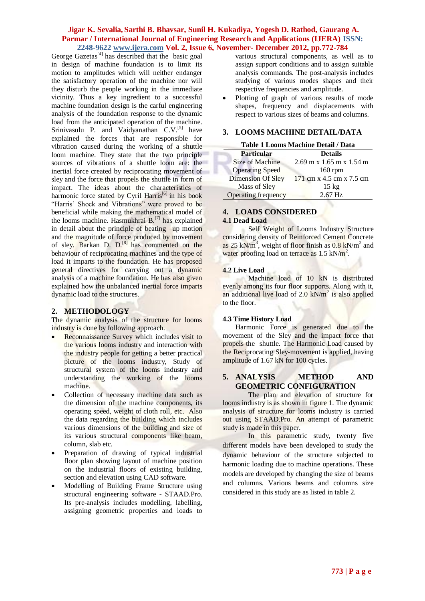George Gazetas<sup>[4]</sup> has described that the basic goal in design of machine foundation is to limit its motion to amplitudes which will neither endanger the satisfactory operation of the machine nor will they disturb the people working in the immediate vicinity. Thus a key ingredient to a successful machine foundation design is the carful engineering analysis of the foundation response to the dynamic load from the anticipated operation of the machine. Srinivasulu P. and Vaidyanathan C.V.<sup>[5]</sup> have explained the forces that are responsible for vibration caused during the working of a shuttle loom machine. They state that the two principle sources of vibrations of a shuttle loom are: the inertial force created by reciprocating movement of sley and the force that propels the shuttle in form of impact. The ideas about the characteristics of harmonic force stated by Cyril Harris<sup>[6]</sup> in his book "Harris' Shock and Vibrations" were proved to be beneficial while making the mathematical model of the looms machine. Hasmukhrai B.[7] has explained in detail about the principle of beating –up motion and the magnitude of force produced by movement of sley. Barkan D. D.<sup>[8]</sup> has commented on the behaviour of reciprocating machines and the type of load it imparts to the foundation. He has proposed general directives for carrying out a dynamic analysis of a machine foundation. He has also given explained how the unbalanced inertial force imparts dynamic load to the structures.

# **2. METHODOLOGY**

The dynamic analysis of the structure for looms industry is done by following approach.

- Reconnaissance Survey which includes visit to the various looms industry and interaction with the industry people for getting a better practical picture of the looms industry, Study of structural system of the looms industry and understanding the working of the looms machine.
- Collection of necessary machine data such as the dimension of the machine components, its operating speed, weight of cloth roll, etc. Also the data regarding the building which includes various dimensions of the building and size of its various structural components like beam, column, slab etc.
- Preparation of drawing of typical industrial floor plan showing layout of machine position on the industrial floors of existing building, section and elevation using CAD software.
- Modelling of Building Frame Structure using structural engineering software - STAAD.Pro. Its pre-analysis includes modelling, labelling, assigning geometric properties and loads to

various structural components, as well as to assign support conditions and to assign suitable analysis commands. The post-analysis includes studying of various modes shapes and their respective frequencies and amplitude.

 Plotting of graph of various results of mode shapes, frequency and displacements with respect to various sizes of beams and columns.

### **3. LOOMS MACHINE DETAIL/DATA**

### **Table 1 Looms Machine Detail / Data**

| тими т полно пличним речим грими |                                |  |  |  |
|----------------------------------|--------------------------------|--|--|--|
| <b>Particular</b>                | <b>Details</b>                 |  |  |  |
| Size of Machine                  | $2.69$ m x $1.65$ m x $1.54$ m |  |  |  |
| <b>Operating Speed</b>           | $160$ rpm                      |  |  |  |
| <b>Dimension Of Sley</b>         | 171 cm x 4.5 cm x 7.5 cm       |  |  |  |
| Mass of Sley                     | $15 \text{ kg}$                |  |  |  |
| Operating frequency              | $2.67$ Hz                      |  |  |  |

# **4. LOADS CONSIDERED**

#### **4.1 Dead Load**

Self Weight of Looms Industry Structure considering density of Reinforced Cement Concrete as 25 kN/m<sup>3</sup>, weight of floor finish as  $0.8$  kN/m<sup>2</sup> and water proofing load on terrace as 1.5 kN/m<sup>2</sup>.

#### **4.2 Live Load**

Machine load of 10 kN is distributed evenly among its four floor supports. Along with it, an additional live load of  $2.0 \text{ kN/m}^2$  is also applied to the floor.

#### **4.3 Time History Load**

Harmonic Force is generated due to the movement of the Sley and the impact force that propels the shuttle. The Harmonic Load caused by the Reciprocating Sley-movement is applied, having amplitude of 1.67 kN for 100 cycles.

#### **5. ANALYSIS METHOD AND GEOMETRIC CONFIGURATION**

The plan and elevation of structure for looms industry is as shown in figure 1. The dynamic analysis of structure for looms industry is carried out using STAAD.Pro. An attempt of parametric study is made in this paper.

In this parametric study, twenty five different models have been developed to study the dynamic behaviour of the structure subjected to harmonic loading due to machine operations. These models are developed by changing the size of beams and columns. Various beams and columns size considered in this study are as listed in table 2.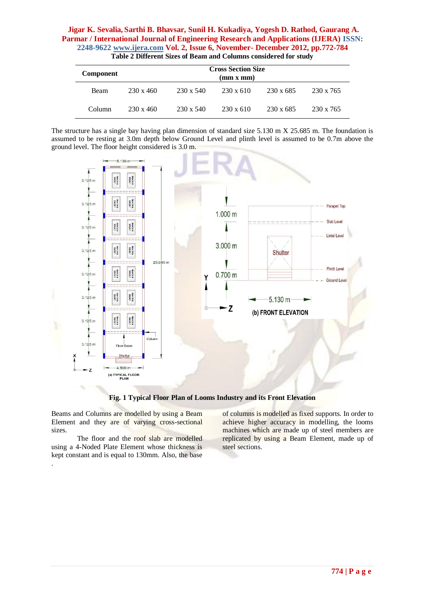| <b>Component</b> |           | <b>Cross Section Size</b><br>(mm x mm) |                  |                  |                  |  |  |  |
|------------------|-----------|----------------------------------------|------------------|------------------|------------------|--|--|--|
| <b>Beam</b>      | 230 x 460 | $230 \times 540$                       | $230 \times 610$ | $230 \times 685$ | 230 x 765        |  |  |  |
| Column           | 230 x 460 | $230 \times 540$                       | $230 \times 610$ | $230 \times 685$ | $230 \times 765$ |  |  |  |

**Table 2 Different Sizes of Beam and Columns considered for study**

The structure has a single bay having plan dimension of standard size 5.130 m X 25.685 m. The foundation is assumed to be resting at 3.0m depth below Ground Level and plinth level is assumed to be 0.7m above the ground level. The floor height considered is 3.0 m.



**Fig. 1 Typical Floor Plan of Looms Industry and its Front Elevation**

Beams and Columns are modelled by using a Beam Element and they are of varying cross-sectional sizes.

The floor and the roof slab are modelled using a 4-Noded Plate Element whose thickness is kept constant and is equal to 130mm. Also, the base .

of columns is modelled as fixed supports. In order to achieve higher accuracy in modelling, the looms machines which are made up of steel members are replicated by using a Beam Element, made up of steel sections.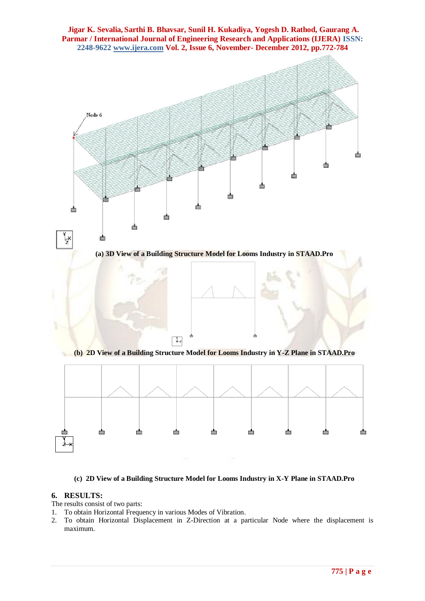

**(c) 2D View of a Building Structure Model for Looms Industry in X-Y Plane in STAAD.Pro**

### **6. RESULTS:**

The results consist of two parts:

- 1. To obtain Horizontal Frequency in various Modes of Vibration.
- 2. To obtain Horizontal Displacement in Z-Direction at a particular Node where the displacement is maximum.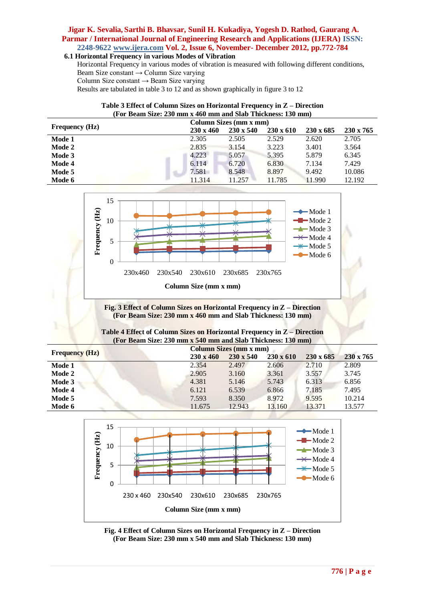#### **6.1 Horizontal Frequency in various Modes of Vibration**

Horizontal Frequency in various modes of vibration is measured with following different conditions, Beam Size constant → Column Size varying Column Size constant  $\rightarrow$  Beam Size varying

Results are tabulated in table 3 to 12 and as shown graphically in figure 3 to 12

| Table 3 Effect of Column Sizes on Horizontal Frequency in Z – Direction |  |
|-------------------------------------------------------------------------|--|
| (For Beam Size: 230 mm x 460 mm and Slab Thickness: 130 mm)             |  |

|                       | Column Sizes (mm x mm) |                  |                  |                  |                  |  |
|-----------------------|------------------------|------------------|------------------|------------------|------------------|--|
| <b>Frequency (Hz)</b> | $230 \times 460$       | $230 \times 540$ | $230 \times 610$ | $230 \times 685$ | $230 \times 765$ |  |
| Mode 1                | 2.305                  | 2.505            | 2.529            | 2.620            | 2.705            |  |
| Mode 2                | 2.835                  | 3.154            | 3.223            | 3.401            | 3.564            |  |
| Mode 3                | 4.223                  | 5.057            | 5.395            | 5.879            | 6.345            |  |
| Mode 4                | 6.114                  | 6.720            | 6.830            | 7.134            | 7.429            |  |
| Mode 5                | 7.581                  | 8.548            | 8.897            | 9.492            | 10.086           |  |
| Mode 6                | 11.314                 | 11.257           | 11.785           | 11.990           | 12.192           |  |



**Fig. 3 Effect of Column Sizes on Horizontal Frequency in Z – Direction (For Beam Size: 230 mm x 460 mm and Slab Thickness: 130 mm)**

| Table 4 Effect of Column Sizes on Horizontal Frequency in Z – Direction |  |
|-------------------------------------------------------------------------|--|
| (For Beam Size: 230 mm x 540 mm and Slab Thickness: 130 mm)             |  |

|                       |                  | <b>Column Sizes (mm x mm)</b> |                  |                  |                  |  |  |
|-----------------------|------------------|-------------------------------|------------------|------------------|------------------|--|--|
| <b>Frequency (Hz)</b> | $230 \times 460$ | $230 \times 540$              | $230 \times 610$ | $230 \times 685$ | $230 \times 765$ |  |  |
| Mode 1                | 2.354            | 2.497                         | 2.606            | 2.710            | 2.809            |  |  |
| Mode 2                | 2.905            | 3.160                         | 3.361            | 3.557            | 3.745            |  |  |
| Mode 3                | 4.381            | 5.146                         | 5.743            | 6.313            | 6.856            |  |  |
| Mode 4                | 6.121            | 6.539                         | 6.866            | 7.185            | 7.495            |  |  |
| Mode 5                | 7.593            | 8.350                         | 8.972            | 9.595            | 10.214           |  |  |
| Mode 6                | 11.675           | 12.943                        | 13.160           | 13.371           | 13.577           |  |  |



**Fig. 4 Effect of Column Sizes on Horizontal Frequency in Z – Direction (For Beam Size: 230 mm x 540 mm and Slab Thickness: 130 mm)**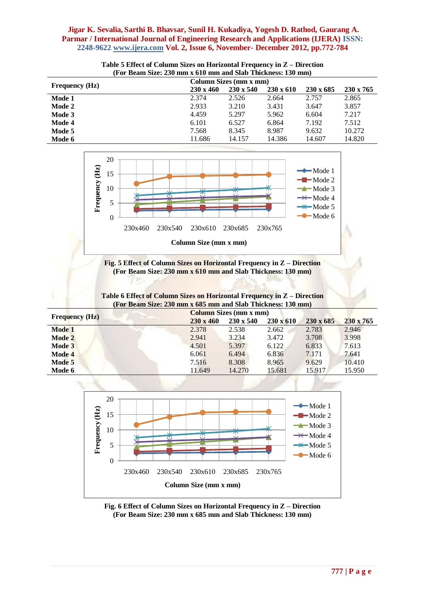| тог всангонд: 200 ныга ото ныгана эна тискисээ. 100 ныг/ |                        |                  |                  |                  |                  |
|----------------------------------------------------------|------------------------|------------------|------------------|------------------|------------------|
| <b>Frequency (Hz)</b>                                    | Column Sizes (mm x mm) |                  |                  |                  |                  |
|                                                          | $230 \times 460$       | $230 \times 540$ | $230 \times 610$ | $230 \times 685$ | $230 \times 765$ |
| Mode 1                                                   | 2.374                  | 2.526            | 2.664            | 2.757            | 2.865            |
| Mode 2                                                   | 2.933                  | 3.210            | 3.431            | 3.647            | 3.857            |
| Mode 3                                                   | 4.459                  | 5.297            | 5.962            | 6.604            | 7.217            |
| Mode 4                                                   | 6.101                  | 6.527            | 6.864            | 7.192            | 7.512            |
| Mode 5                                                   | 7.568                  | 8.345            | 8.987            | 9.632            | 10.272           |
| Mode 6                                                   | 11.686                 | 14.157           | 14.386           | 14.607           | 14.820           |

**Table 5 Effect of Column Sizes on Horizontal Frequency in Z – Direction (For Beam Size: 230 mm x 610 mm and Slab Thickness: 130 mm)**





**(For Beam Size: 230 mm x 610 mm and Slab Thickness: 130 mm)**

**Table 6 Effect of Column Sizes on Horizontal Frequency in Z – Direction (For Beam Size: 230 mm x 685 mm and Slab Thickness: 130 mm)**

|                       |                  | <b>Column Sizes (mm x mm)</b> |                  |                  |                  |  |  |
|-----------------------|------------------|-------------------------------|------------------|------------------|------------------|--|--|
| <b>Frequency (Hz)</b> | $230 \times 460$ | $230 \times 540$              | $230 \times 610$ | $230 \times 685$ | $230 \times 765$ |  |  |
| Mode 1                | 2.378            | 2.538                         | 2.662            | 2.783            | 2.946            |  |  |
| Mode 2                | 2.941            | 3.234                         | 3.472            | 3.708            | 3.998            |  |  |
| Mode 3                | 4.501            | 5.397                         | 6.122            | 6.833            | 7.613            |  |  |
| Mode 4                | 6.061            | 6.494                         | 6.836            | 7.171            | 7.641            |  |  |
| Mode 5                | 7.516            | 8.308                         | 8.965            | 9.629            | 10.410           |  |  |
| Mode 6                | 11.649           | 14.270                        | 15.681           | 15.917           | 15.950           |  |  |



**Fig. 6 Effect of Column Sizes on Horizontal Frequency in Z – Direction (For Beam Size: 230 mm x 685 mm and Slab Thickness: 130 mm)**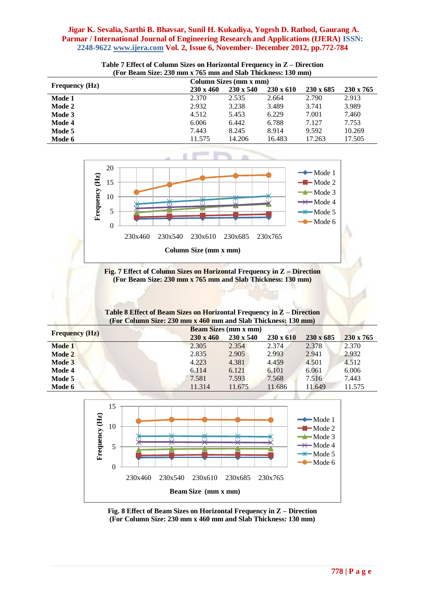|                       | $\Gamma$ u deam size. Zyv him x 700 min and siab Thierness. Tyv him) |                        |                  |                  |                  |  |  |
|-----------------------|----------------------------------------------------------------------|------------------------|------------------|------------------|------------------|--|--|
|                       |                                                                      | Column Sizes (mm x mm) |                  |                  |                  |  |  |
| <b>Frequency</b> (Hz) | $230 \times 460$                                                     | $230 \times 540$       | $230 \times 610$ | $230 \times 685$ | $230 \times 765$ |  |  |
| Mode 1                | 2.370                                                                | 2.535                  | 2.664            | 2.790            | 2.913            |  |  |
| Mode 2                | 2.932                                                                | 3.238                  | 3.489            | 3.741            | 3.989            |  |  |
| Mode 3                | 4.512                                                                | 5.453                  | 6.229            | 7.001            | 7.460            |  |  |
| Mode 4                | 6.006                                                                | 6.442                  | 6.788            | 7.127            | 7.753            |  |  |
| Mode 5                | 7.443                                                                | 8.245                  | 8.914            | 9.592            | 10.269           |  |  |
| Mode 6                | 11.575                                                               | 14.206                 | 16.483           | 17.263           | 17.505           |  |  |
|                       |                                                                      |                        |                  |                  |                  |  |  |

**Table 7 Effect of Column Sizes on Horizontal Frequency in Z – Direction (For Beam Size: 230 mm x 765 mm and Slab Thickness: 130 mm)**





| Table 8 Effect of Beam Sizes on Horizontal Frequency in Z - Direction |  |  |  |
|-----------------------------------------------------------------------|--|--|--|
| (For Column Size: 230 mm x 460 mm and Slab Thickness: 130 mm)         |  |  |  |
|                                                                       |  |  |  |

|                       | <b>Beam Sizes (mm x mm)</b> |                  |                  |                  |                  |  |  |
|-----------------------|-----------------------------|------------------|------------------|------------------|------------------|--|--|
| <b>Frequency (Hz)</b> | $230 \times 460$            | $230 \times 540$ | $230 \times 610$ | $230 \times 685$ | $230 \times 765$ |  |  |
| Mode 1                | 2.305                       | 2.354            | 2.374            | 2.378            | 2.370            |  |  |
| Mode 2                | 2.835                       | 2.905            | 2.993            | 2.941            | 2.932            |  |  |
| Mode 3                | 4.223                       | 4.381            | 4.459            | 4.501            | 4.512            |  |  |
| Mode 4                | 6.114                       | 6.121            | 6.101            | 6.061            | 6.006            |  |  |
| Mode 5                | 7.581                       | 7.593            | 7.568            | 7.516            | 7.443            |  |  |
| Mode 6                | 11.314                      | 11.675           | 11.686           | 11.649           | 11.575           |  |  |



**Fig. 8 Effect of Beam Sizes on Horizontal Frequency in Z – Direction (For Column Size: 230 mm x 460 mm and Slab Thickness: 130 mm)**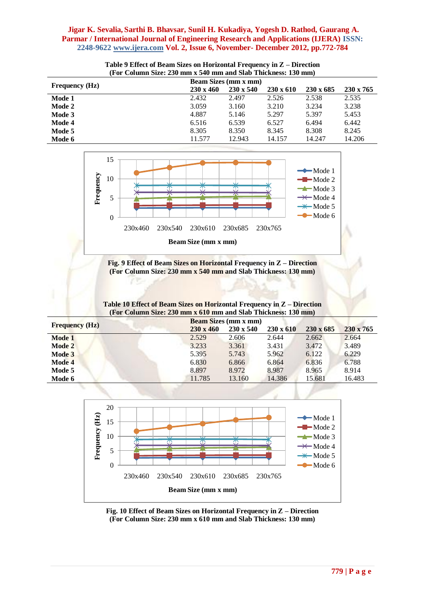| <u>д ог согинні рідсі 200 нын з 0-го нын ини рійо тінскікові то о ніні)</u> |                             |                  |                  |                  |                  |  |
|-----------------------------------------------------------------------------|-----------------------------|------------------|------------------|------------------|------------------|--|
|                                                                             | <b>Beam Sizes (mm x mm)</b> |                  |                  |                  |                  |  |
| <b>Frequency</b> (Hz)                                                       | $230 \times 460$            | $230 \times 540$ | $230 \times 610$ | $230 \times 685$ | $230 \times 765$ |  |
| Mode 1                                                                      | 2.432                       | 2.497            | 2.526            | 2.538            | 2.535            |  |
| Mode 2                                                                      | 3.059                       | 3.160            | 3.210            | 3.234            | 3.238            |  |
| Mode 3                                                                      | 4.887                       | 5.146            | 5.297            | 5.397            | 5.453            |  |
| Mode 4                                                                      | 6.516                       | 6.539            | 6.527            | 6.494            | 6.442            |  |
| Mode 5                                                                      | 8.305                       | 8.350            | 8.345            | 8.308            | 8.245            |  |
| Mode 6                                                                      | 11.577                      | 12.943           | 14.157           | 14.247           | 14.206           |  |

#### **Table 9 Effect of Beam Sizes on Horizontal Frequency in Z – Direction (For Column Size: 230 mm x 540 mm and Slab Thickness: 130 mm)**



#### **Fig. 9 Effect of Beam Sizes on Horizontal Frequency in Z – Direction (For Column Size: 230 mm x 540 mm and Slab Thickness: 130 mm)**

#### **Table 10 Effect of Beam Sizes on Horizontal Frequency in Z – Direction (For Column Size: 230 mm x 610 mm and Slab Thickness: 130 mm)**

|                       |                  | <b>Beam Sizes (mm x mm)</b> |                  |                  |           |
|-----------------------|------------------|-----------------------------|------------------|------------------|-----------|
| <b>Frequency (Hz)</b> | $230 \times 460$ | $230 \times 540$            | $230 \times 610$ | $230 \times 685$ | 230 x 765 |
| Mode 1                | 2.529            | 2.606                       | 2.644            | 2.662            | 2.664     |
| Mode 2                | 3.233            | 3.361                       | 3.431            | 3.472            | 3.489     |
| Mode 3                | 5.395            | 5.743                       | 5.962            | 6.122            | 6.229     |
| Mode 4                | 6.830            | 6.866                       | 6.864            | 6.836            | 6.788     |
| Mode 5                | 8.897            | 8.972                       | 8.987            | 8.965            | 8.914     |
| Mode 6                | 11.785           | 13.160                      | 14.386           | 15.681           | 16.483    |



**Fig. 10 Effect of Beam Sizes on Horizontal Frequency in Z – Direction (For Column Size: 230 mm x 610 mm and Slab Thickness: 130 mm)**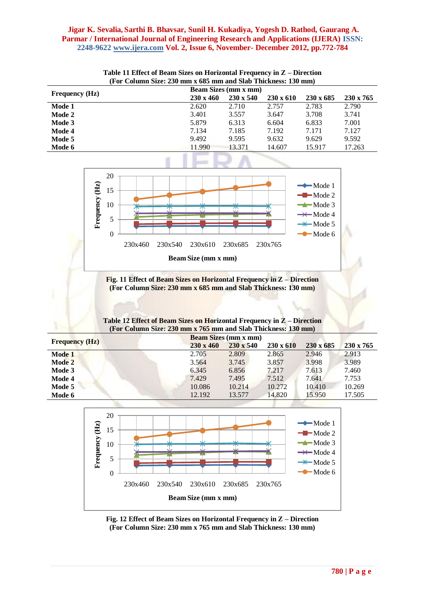|                       | Tul Column Size. 250 mm x 005 mm and slab Thickness. Too mm) |                             |                  |                  |                  |                  |  |  |
|-----------------------|--------------------------------------------------------------|-----------------------------|------------------|------------------|------------------|------------------|--|--|
|                       |                                                              | <b>Beam Sizes (mm x mm)</b> |                  |                  |                  |                  |  |  |
| <b>Frequency</b> (Hz) |                                                              | $230 \times 460$            | $230 \times 540$ | $230 \times 610$ | $230 \times 685$ | $230 \times 765$ |  |  |
| Mode 1                |                                                              | 2.620                       | 2.710            | 2.757            | 2.783            | 2.790            |  |  |
| Mode 2                |                                                              | 3.401                       | 3.557            | 3.647            | 3.708            | 3.741            |  |  |
| Mode 3                |                                                              | 5.879                       | 6.313            | 6.604            | 6.833            | 7.001            |  |  |
| Mode 4                |                                                              | 7.134                       | 7.185            | 7.192            | 7.171            | 7.127            |  |  |
| Mode 5                |                                                              | 9.492                       | 9.595            | 9.632            | 9.629            | 9.592            |  |  |
| Mode 6                |                                                              | 11.990                      | 13.371           | 14.607           | 15.917           | 17.263           |  |  |
|                       |                                                              |                             |                  |                  |                  |                  |  |  |





**Fig. 11 Effect of Beam Sizes on Horizontal Frequency in Z – Direction (For Column Size: 230 mm x 685 mm and Slab Thickness: 130 mm)**

|  | Table 12 Effect of Beam Sizes on Horizontal Frequency in Z - Direction |
|--|------------------------------------------------------------------------|
|  | (For Column Size: 230 mm x 765 mm and Slab Thickness: 130 mm)          |

|                       | <b>Beam Sizes (mm x mm)</b> |                  |                  |                  |                  |  |
|-----------------------|-----------------------------|------------------|------------------|------------------|------------------|--|
| <b>Frequency (Hz)</b> | $230 \times 460$            | $230 \times 540$ | $230 \times 610$ | $230 \times 685$ | $230 \times 765$ |  |
| Mode 1                | 2.705                       | 2.809            | 2.865            | 2.946            | 2.913            |  |
| Mode 2                | 3.564                       | 3.745            | 3.857            | 3.998            | 3.989            |  |
| Mode 3                | 6.345                       | 6.856            | 7.217            | 7.613            | 7.460            |  |
| Mode 4                | 7.429                       | 7.495            | 7.512            | 7.641            | 7.753            |  |
| Mode 5                | 10.086                      | 10.214           | 10.272           | 10.410           | 10.269           |  |
| Mode 6                | 12.192                      | 13.577           | 14.820           | 15.950           | 17.505           |  |



**Fig. 12 Effect of Beam Sizes on Horizontal Frequency in Z – Direction (For Column Size: 230 mm x 765 mm and Slab Thickness: 130 mm)**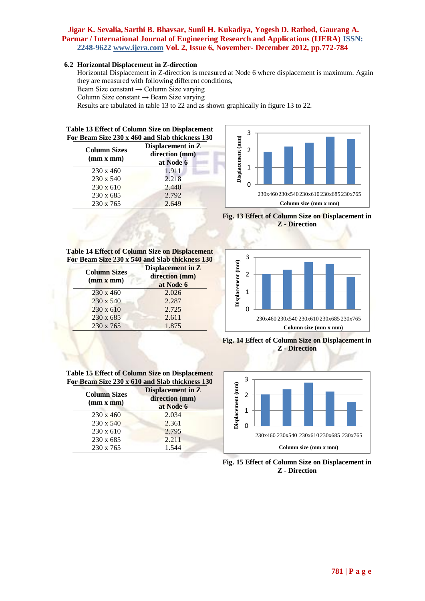### **6.2 Horizontal Displacement in Z-direction**

Horizontal Displacement in Z-direction is measured at Node 6 where displacement is maximum. Again they are measured with following different conditions,

Beam Size constant → Column Size varying

Column Size constant  $\rightarrow$  Beam Size varying

Results are tabulated in table 13 to 22 and as shown graphically in figure 13 to 22.

| Table 13 Effect of Column Size on Displacement<br>For Beam Size 230 x 460 and Slab thickness 130 |                                                  |  |
|--------------------------------------------------------------------------------------------------|--------------------------------------------------|--|
| <b>Column Sizes</b><br>(mm x mm)                                                                 | Displacement in Z<br>direction (mm)<br>at Node 6 |  |
| 230 x 460                                                                                        | 1.911                                            |  |
| 230 x 540                                                                                        | 2.218                                            |  |
| $230 \times 610$                                                                                 | 2.440                                            |  |
| 230 x 685                                                                                        | 2.792                                            |  |
| 230 x 765                                                                                        | 2.649                                            |  |



**Fig. 13 Effect of Column Size on Displacement in Z - Direction**



**Fig. 14 Effect of Column Size on Displacement in Z - Direction**



**Fig. 15 Effect of Column Size on Displacement in Z - Direction**

**Table 14 Effect of Column Size on Displacement For Beam Size 230 x 540 and Slab thickness 130**

| <b>Column Sizes</b><br>(mm x mm) | <b>Displacement in Z</b><br>direction (mm)<br>at Node 6 |
|----------------------------------|---------------------------------------------------------|
| $230 \times 460$                 | 2.026                                                   |
| 230 x 540                        | 2.287                                                   |
| $230 \times 610$                 | 2.725                                                   |
| 230 x 685                        | 2.611                                                   |
| 230 x 765                        | 1.875                                                   |
|                                  |                                                         |

**Table 15 Effect of Column Size on Displacement For Beam Size 230 x 610 and Slab thickness 130**

> 230 x 460 2.034 230 x 540 2.361 2.795 230 x 685 2.211 230 x 765 1.544

**Displacement in Z direction (mm) at Node 6**

**Column Sizes (mm x mm)**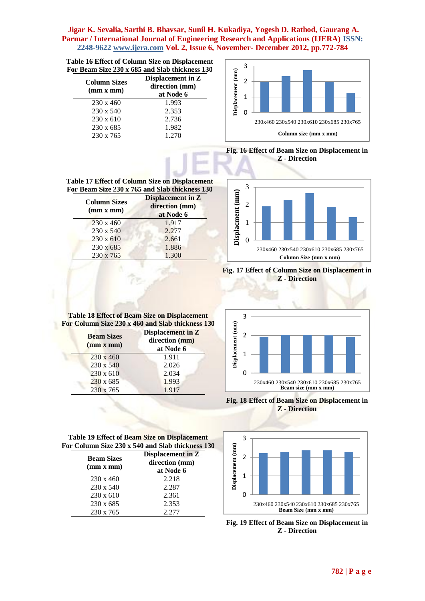|  |  |  | <b>Table 16 Effect of Column Size on Displacement</b> |  |
|--|--|--|-------------------------------------------------------|--|
|  |  |  | For Beam Size 230 x 685 and Slab thickness 130        |  |

| <b>Column Sizes</b><br>(mm x mm) | Displacement in Z<br>direction (mm)<br>at Node 6 |
|----------------------------------|--------------------------------------------------|
| $230 \times 460$                 | 1.993                                            |
| $230 \times 540$                 | 2.353                                            |
| $230 \times 610$                 | 2.736                                            |
| 230 x 685                        | 1.982                                            |
| 230 x 765                        | 1.270                                            |

![](_page_10_Figure_3.jpeg)

**Fig. 16 Effect of Beam Size on Displacement in Z - Direction**

![](_page_10_Figure_5.jpeg)

**Fig. 17 Effect of Column Size on Displacement in Z - Direction**

![](_page_10_Figure_7.jpeg)

**Fig. 18 Effect of Beam Size on Displacement in Z - Direction**

![](_page_10_Figure_9.jpeg)

**Fig. 19 Effect of Beam Size on Displacement in Z - Direction**

| Table 17 Effect of Column Size on Displacement<br>For Beam Size 230 x 765 and Slab thickness 130 |                                                         |
|--------------------------------------------------------------------------------------------------|---------------------------------------------------------|
| <b>Column Sizes</b><br>(mm x mm)                                                                 | <b>Displacement in Z</b><br>direction (mm)<br>at Node 6 |
| $230 \times 460$                                                                                 | 1.917                                                   |
| 230 x 540                                                                                        | 2.277                                                   |
| 230 x 610                                                                                        | 2.661                                                   |
| 230 x 685                                                                                        | 1.886                                                   |

230 x 765 1.300

**Table 18 Effect of Beam Size on Displacement For Column Size 230 x 460 and Slab thickness 130**

| <b>Beam Sizes</b><br>(mm x mm) | <b>Displacement in Z</b><br>direction (mm)<br>at Node 6 |
|--------------------------------|---------------------------------------------------------|
| $230 \times 460$               | 1.911                                                   |
| 230 x 540                      | 2.026                                                   |
| $230 \times 610$               | 2.034                                                   |
| $230 \times 685$               | 1.993                                                   |
| 230 x 765                      | 1.917                                                   |

**Table 19 Effect of Beam Size on Displacement For Column Size 230 x 540 and Slab thickness 130**

| <b>Beam Sizes</b><br>(mm x mm) | Displacement in Z<br>direction (mm)<br>at Node 6 |
|--------------------------------|--------------------------------------------------|
| $230 \times 460$               | 2.218                                            |
| $230 \times 540$               | 2.287                                            |
| $230 \times 610$               | 2.361                                            |
| $230 \times 685$               | 2.353                                            |
| $230 \times 765$               | 2.277                                            |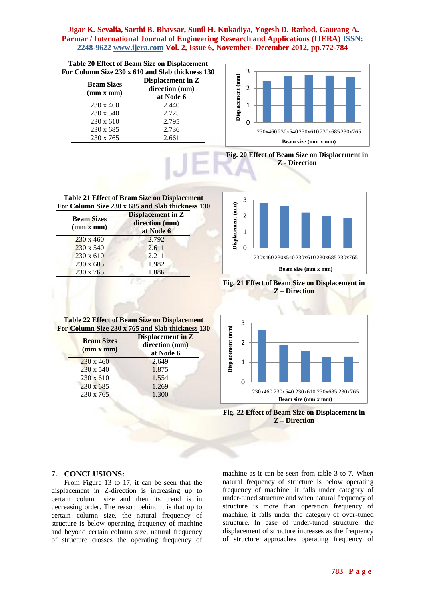| Table 20 Effect of Beam Size on Displacement<br>For Column Size 230 x 610 and Slab thickness 130 |                                                  |  |
|--------------------------------------------------------------------------------------------------|--------------------------------------------------|--|
| <b>Beam Sizes</b><br>(mm x mm)                                                                   | Displacement in Z<br>direction (mm)<br>at Node 6 |  |
| $230 \times 460$                                                                                 | 2.440                                            |  |
| $230 \times 540$                                                                                 | 2.725                                            |  |
| $230 \times 610$                                                                                 | 2.795                                            |  |
| 230 x 685                                                                                        | 2.736                                            |  |
| 230 x 765                                                                                        | 2.661                                            |  |

![](_page_11_Figure_2.jpeg)

**Fig. 20 Effect of Beam Size on Displacement in Z - Direction**

**Table 21 Effect of Beam Size on Displacement For Column Size 230 x 685 and Slab thickness 130**

| <b>Beam Sizes</b><br>(mm x mm) | <b>Displacement in Z</b><br>direction (mm)<br>at Node 6 |
|--------------------------------|---------------------------------------------------------|
| $230 \times 460$               | 2.792                                                   |
| 230 x 540                      | 2.611                                                   |
| $230 \times 610$               | 2.211                                                   |
| 230 x 685                      | 1.982                                                   |
| 230 x 765                      | 1.886                                                   |

**Table 22 Effect of Beam Size on Displacement For Column Size 230 x 765 and Slab thickness 130**

> 230 x 460 2.649 230 x 540 1.875 230 x 610 1.554 230 x 685 1.269 230 x 765 1.300

**Displacement in Z direction (mm) at Node 6**

**Beam Sizes (mm x mm)**

![](_page_11_Figure_6.jpeg)

**Fig. 21 Effect of Beam Size on Displacement in Z – Direction**

![](_page_11_Figure_8.jpeg)

![](_page_11_Figure_9.jpeg)

# **7. CONCLUSIONS:**

From Figure 13 to 17, it can be seen that the displacement in Z-direction is increasing up to certain column size and then its trend is in decreasing order. The reason behind it is that up to certain column size, the natural frequency of structure is below operating frequency of machine and beyond certain column size, natural frequency of structure crosses the operating frequency of machine as it can be seen from table 3 to 7. When natural frequency of structure is below operating frequency of machine, it falls under category of under-tuned structure and when natural frequency of structure is more than operation frequency of machine, it falls under the category of over-tuned structure. In case of under-tuned structure, the displacement of structure increases as the frequency of structure approaches operating frequency of